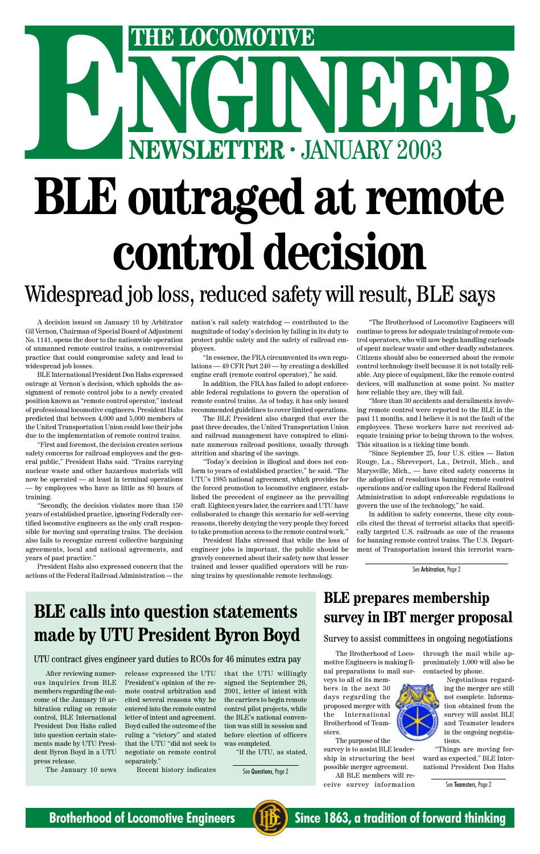#### A decision issued on January 10 by Arbitrator Gil Vernon, Chairman of Special Board of Adjustment No. 1141, opens the door to the nationwide operation of unmanned remote control trains, a controversial practice that could compromise safety and lead to widespread job losses.

BLE International President Don Hahs expressed outrage at Vernon's decision, which upholds the assignment of remote control jobs to a newly created position known as "remote control operator," instead of professional locomotive engineers. President Hahs predicted that between 4,000 and 5,000 members of the United Transportation Union could lose their jobs due to the implementation of remote control trains.

nation's rail safety watchdog - contributed to the magnitude of today's decision by failing in its duty to protect public safety and the safety of railroad employees.

"First and foremost, the decision creates serious safety concerns for railroad employees and the general public," President Hahs said. "Trains carrying nuclear waste and other hazardous materials will now be operated — at least in terminal operations — by employees who have as little as 80 hours of training.

"Secondly, the decision violates more than 150 years of established practice, ignoring Federally certified locomotive engineers as the only craft responsible for moving and operating trains. The decision also fails to recognize current collective bargaining agreements, local and national agreements, and years of past practice."

President Hahs also expressed concern that the actions of the Federal Railroad Administration –- the

"In essence, the FRA circumvented its own regulations — 49 CFR Part 240 — by creating a deskilled engine craft (remote control operator)," he said.

In addition, the FRA has failed to adopt enforceable federal regulations to govern the operation of remote control trains. As of today, it has only issued recommended guidelines to cover limited operations.

# NGINEER - JANUARY 2003 **ENEXTRE LOCOMOTIVE**<br> **ENEWSLETTER · JANUARY 2003 BLE outraged at remote control decision** Widespread job loss, reduced safety will result, BLE says

The BLE President also charged that over the past three decades, the United Transportation Union and railroad management have conspired to eliminate numerous railroad positions, usually through attrition and sharing of the savings.

"Today's decision is illogical and does not conform to years of established practice," he said. "The UTU's 1985 national agreement, which provides for the forced promotion to locomotive engineer, established the precedent of engineer as the prevailing craft. Eighteen years later, the carriers and UTU have collaborated to change this scenario for self-serving reasons, thereby denying the very people they forced to take promotion access to the remote control work."

President Hahs stressed that while the loss of engineer jobs is important, the public should be gravely concerned about their safety now that lesser trained and lesser qualified operators will be running trains by questionable remote technology.

"The Brotherhood of Locomotive Engineers will continue to press for adequate training of remote control operators, who will now begin handling carloads of spent nuclear waste and other deadly substances. Citizens should also be concerned about the remote control technology itself because it is not totally reliable. Any piece of equipment, like the remote control devices, will malfunction at some point. No matter how reliable they are, they will fail.

"More than 30 accidents and derailments involving remote control were reported to the BLE in the past 11 months, and I believe it is not the fault of the employees. These workers have not received adequate training prior to being thrown to the wolves. This situation is a ticking time bomb.

"Since September 25, four U.S. cities — Baton Rouge, La., Shreveport, La., Detroit, Mich., and Marysville, Mich., — have cited safety concerns in the adoption of resolutions banning remote control operations and/or calling upon the Federal Railroad Administration to adopt enforceable regulations to govern the use of the technology," he said.

In addition to safety concerns, these city councils cited the threat of terrorist attacks that specifically targeted U.S. railroads as one of the reasons for banning remote control trains. The U.S. Department of Transportation issued this terrorist warn-

# **BLE calls into question statements**

### **made by UTU President Byron Boyd**

#### UTU contract gives engineer yard duties to RCOs for 46 minutes extra pay

After reviewing numerous inquiries from BLE members regarding the outcome of the January 10 arbitration ruling on remote control, BLE International President Don Hahs called into question certain statements made by UTU President Byron Boyd in a UTU press release.

The January 10 news

release expressed the UTU President's opinion of the remote control arbitration and cited several reasons why he entered into the remote control letter of intent and agreement. Boyd called the outcome of the ruling a "victory" and stated that the UTU "did not seek to negotiate on remote control separately."

Recent history indicates

that the UTU willingly signed the September 26, 2001, letter of intent with the carriers to begin remote control pilot projects, while the BLE's national convention was still in session and before election of officers was completed.

"If the UTU, as stated,

See Questions, Page 2

**BLE prepares membership survey in IBT merger proposal**

See Teamsters, Page 2



**Brotherhood of Locomotive Engineers (HE)** Since 1863, a tradition of forward thinking

The Brotherhood of Locomotive Engineers is making final preparations to mail sur-

veys to all of its members in the next 30 days regarding the proposed merger with the International Brotherhood of Teamsters.

The purpose of the survey is to assist BLE leadership in structuring the best possible merger agreement. All BLE members will receive survey information

through the mail while approximately 1,000 will also be contacted by phone.



Negotiations regarding the merger are still not complete. Information obtained from the survey will assist BLE and Teamster leaders in the ongoing negotiations.

"Things are moving forward as expected," BLE International President Don Hahs

#### Survey to assist committees in ongoing negotiations

See Arbitration, Page 2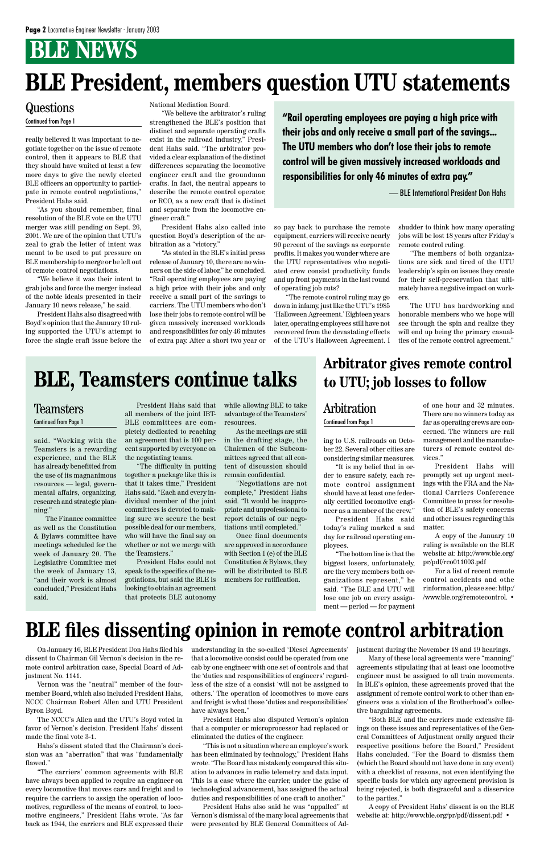# **BLE NEWS**

ing to U.S. railroads on October 22. Several other cities are considering similar measures.

"It is my belief that in order to ensure safety, each remote control assignment should have at least one federally certified locomotive engineer as a member of the crew."

President Hahs said today's ruling marked a sad day for railroad operating employees.

"The bottom line is that the biggest losers, unfortunately, are the very members both organizations represent," he said. "The BLE and UTU will lose one job on every assignment — period — for payment of one hour and 32 minutes. There are no winners today as far as operating crews are concerned. The winners are rail management and the manufacturers of remote control devices."

President Hahs will promptly set up urgent meetings with the FRA and the National Carriers Conference Committee to press for resolution of BLE's safety concerns and other issues regarding this matter.

A copy of the January 10 ruling is available on the BLE website at: http://www.ble.org/ pr/pdf/rco011003.pdf

For a list of recent remote control accidents and othe rinformation, please see: http:/ /www.ble.org/remotecontrol. •

really believed it was important to negotiate together on the issue of remote control, then it appears to BLE that they should have waited at least a few more days to give the newly elected BLE officers an opportunity to participate in remote control negotiations," President Hahs said.

"As you should remember, final resolution of the BLE vote on the UTU merger was still pending on Sept. 26, 2001. We are of the opinion that UTU's zeal to grab the letter of intent was meant to be used to put pressure on BLE membership to merge or be left out of remote control negotiations.

"We believe it was their intent to grab jobs and force the merger instead of the noble ideals presented in their January 10 news release," he said.

President Hahs also disagreed with Boyd's opinion that the January 10 ruling supported the UTU's attempt to force the single craft issue before the National Mediation Board.

The Unit of the Strengthened the BLE's position that **"Rail operating employees are paying a high price with their jobs and only receive a small part of the savings... The UTU members who don't lose their jobs to remote control will be given massively increased workloads and responsibilities for only 46 minutes of extra pay."**

On January 16, BLE President Don Hahs filed his dissent to Chairman Gil Vernon's decision in the remote control arbitration case, Special Board of Adjustment No. 1141.

"We believe the arbitrator's ruling strengthened the BLE's position that distinct and separate operating crafts exist in the railroad industry," President Hahs said. "The arbitrator provided a clear explanation of the distinct differences separating the locomotive engineer craft and the groundman crafts. In fact, the neutral appears to describe the remote control operator, or RCO, as a new craft that is distinct and separate from the locomotive engineer craft."

President Hahs also called into question Boyd's description of the arbitration as a "victory."

"As stated in the BLE's initial press release of January 10, there are no winners on the side of labor," he concluded. "Rail operating employees are paying a high price with their jobs and only receive a small part of the savings to carriers. The UTU members who don't lose their jobs to remote control will be given massively increased workloads and responsibilities for only 46 minutes of extra pay. After a short two year or

so pay back to purchase the remote equipment, carriers will receive nearly 90 percent of the savings as corporate profits. It makes you wonder where are the UTU representatives who negotiated crew consist productivity funds and up front payments in the last round of operating job cuts?

"The remote control ruling may go down in infamy, just like the UTU's 1985 'Halloween Agreement.' Eighteen years later, operating employees still have not recovered from the devastating effects of the UTU's Halloween Agreement. I

shudder to think how many operating jobs will be lost 18 years after Friday's remote control ruling.

"The members of both organizations are sick and tired of the UTU leadership's spin on issues they create for their self-preservation that ultimately have a negative impact on workers.

The UTU has hardworking and honorable members who we hope will see through the spin and realize they will end up being the primary casualties of the remote control agreement."

# **BLE President, members question UTU statements**

## **Questions**

— BLE International President Don Hahs

### **Arbitrator gives remote control to UTU; job losses to follow**

#### Arbitration Continued from Page 1

#### Teamsters Continued from Page 1

# **BLE, Teamsters continue talks**

Vernon was the "neutral" member of the fourmember Board, which also included President Hahs, NCCC Chairman Robert Allen and UTU President Byron Boyd.

The NCCC's Allen and the UTU's Boyd voted in favor of Vernon's decision. President Hahs' dissent made the final vote 3-1.

Hahs's dissent stated that the Chairman's decision was an "aberration" that was "fundamentally flawed."

"The carriers' common agreements with BLE have always been applied to require an engineer on every locomotive that moves cars and freight and to require the carriers to assign the operation of locomotives, regardless of the means of control, to locomotive engineers," President Hahs wrote. "As far back as 1944, the carriers and BLE expressed their

understanding in the so-called 'Diesel Agreements' that a locomotive consist could be operated from one cab by one engineer with one set of controls and that the 'duties and responsibilities of engineers' regardless of the size of a consist 'will not be assigned to others.' The operation of locomotives to move cars and freight is what those 'duties and responsibilities' have always been."

President Hahs also disputed Vernon's opinion that a computer or microprocessor had replaced or eliminated the duties of the engineer.

"This is not a situation where an employee's work has been eliminated by technology," President Hahs wrote. "The Board has mistakenly compared this situation to advances in radio telemetry and data input. This is a case where the carrier, under the guise of technological advancement, has assigned the actual duties and responsibilities of one craft to another."

President Hahs also said he was "appalled" at Vernon's dismissal of the many local agreements that were presented by BLE General Committees of Adjustment during the November 18 and 19 hearings.

Many of these local agreements were "manning" agreements stipulating that at least one locomotive engineer must be assigned to all train movements. In BLE's opinion, these agreements proved that the assignment of remote control work to other than engineers was a violation of the Brotherhood's collective bargaining agreements.

"Both BLE and the carriers made extensive filings on these issues and representatives of the General Committees of Adjustment orally argued their respective positions before the Board," President Hahs concluded. "For the Board to dismiss them (which the Board should not have done in any event) with a checklist of reasons, not even identifying the specific basis for which any agreement provision is being rejected, is both disgraceful and a disservice to the parties."

A copy of President Hahs' dissent is on the BLE website at: http://www.ble.org/pr/pdf/dissent.pdf •

## **BLE files dissenting opinion in remote control arbitration**

said. "Working with the Teamsters is a rewarding experience, and the BLE has already benefitted from the use of its magnanimous resources — legal, governmental affairs, organizing, research and strategic planning."

The Finance committee as well as the Constitution & Bylaws committee have meetings scheduled for the week of January 20. The Legislative Committee met the week of January 13, "and their work is almost concluded," President Hahs said.

President Hahs said that all members of the joint IBT-BLE committees are completely dedicated to reaching an agreement that is 100 percent supported by everyone on the negotiating teams.

"The difficulty in putting together a package like this is that it takes time," President Hahs said. "Each and every individual member of the joint committees is devoted to making sure we secure the best possible deal for our members, who will have the final say on whether or not we merge with the Teamsters."

President Hahs could not speak to the specifics of the negotiations, but said the BLE is looking to obtain an agreement that protects BLE autonomy

while allowing BLE to take advantage of the Teamsters' resources.

As the meetings are still in the drafting stage, the Chairmen of the Subcommittees agreed that all content of discussion should remain confidential.

"Negotiations are not complete," President Hahs said. "It would be inappropriate and unprofessional to report details of our negotiations until completed."

Once final documents are approved in accordance with Section 1 (e) of the BLE Constitution & Bylaws, they will be distributed to BLE members for ratification.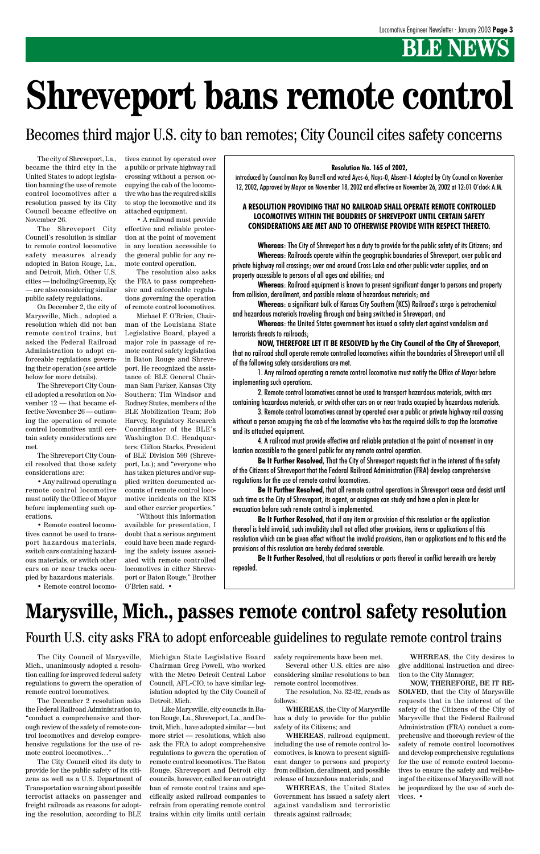# **BENEWS**

# **Shreveport bans remote control**

The city of Shreveport, La., became the third city in the United States to adopt legislation banning the use of remote control locomotives after a resolution passed by its City Council became effective on November 26.

The Shreveport City Council's resolution is similar to remote control locomotive safety measures already adopted in Baton Rouge, La., and Detroit, Mich. Other U.S. cities — including Greenup, Ky. — are also considering similar public safety regulations.

On December 2, the city of Marysville, Mich., adopted a resolution which did not ban remote control trains, but asked the Federal Railroad Administration to adopt enforceable regulations governing their operation (see article below for more details).

The Shreveport City Council adopted a resolution on November 12 — that became effective November 26 — outlawing the operation of remote control locomotives until certain safety considerations are met.

The Shreveport City Council resolved that those safety considerations are:

• Any railroad operating a remote control locomotive must notify the Office of Mayor before implementing such operations.

• Remote control locomotives cannot be used to transport hazardous materials, switch cars containing hazardous materials, or switch other cars on or near tracks occupied by hazardous materials.

• Remote control locomo-

tives cannot by operated over a public or private highway rail crossing without a person occupying the cab of the locomotive who has the required skills to stop the locomotive and its attached equipment.

• A railroad must provide effective and reliable protection at the point of movement in any location accessible to the general public for any remote control operation.

The resolution also asks the FRA to pass comprehensive and enforceable regulations governing the operation of remote control locomotives.

Michael F. O'Brien, Chairman of the Louisiana State Legislative Board, played a major role in passage of remote control safety legislation in Baton Rouge and Shreveport. He recognized the assistance of: BLE General Chairman Sam Parker, Kansas City Southern; Tim Windsor and Rodney Stutes, members of the BLE Mobilization Team; Bob Harvey, Regulatory Research Coordinator of the BLE's Washington D.C. Headquarters; Clifton Starks, President of BLE Division 599 (Shreveport, La.); and "everyone who has taken pictures and/or supplied written documented accounts of remote control locomotive incidents on the KCS and other carrier properties."

"Without this information available for presentation, I doubt that a serious argument could have been made regarding the safety issues associated with remote controlled locomotives in either Shreveport or Baton Rouge," Brother O'Brien said. •

#### **Resolution No. 165 of 2002,**

introduced by Councilman Roy Burrell and voted Ayes-6, Nays-0, Absent-1 Adopted by City Council on November 12, 2002, Approved by Mayor on November 18, 2002 and effective on November 26, 2002 at 12:01 O'clock A.M.

#### **A RESOLUTION PROVIDING THAT NO RAILROAD SHALL OPERATE REMOTE CONTROLLED LOCOMOTIVES WITHIN THE BOUDRIES OF SHREVEPORT UNTIL CERTAIN SAFETY CONSIDERATIONS ARE MET AND TO OTHERWISE PROVIDE WITH RESPECT THERETO.**

**Whereas**: The City of Shreveport has a duty to provide for the public safety of its Citizens; and **Whereas**: Railroads operate within the geographic boundaries of Shreveport, over public and private highway rail crossings; over and around Cross Lake and other public water supplies, and on property accessible to persons of all ages and abilities; and

**Whereas**: Railroad equipment is known to present significant danger to persons and property from collision, derailment, and possible release of hazardous materials; and

**Whereas**: a significant bulk of Kansas City Southern (KCS) Railroad's cargo is petrochemical and hazardous materials traveling through and being switched in Shreveport; and

**Whereas**: the United States government has issued a safety alert against vandalism and terrorists threats to railroads;

**NOW, THEREFORE LET IT BE RESOLVED by the City Council of the City of Shreveport**, that no railroad shall operate remote controlled locomotives within the boundaries of Shreveport until all of the following safety considerations are met.

1. Any railroad operating a remote control locomotive must notify the Office of Mayor before implementing such operations.

2. Remote control locomotives cannot be used to transport hazardous materials, switch cars containing hazardous materials, or switch other cars on or near tracks occupied by hazardous materials.

3. Remote control locomotives cannot by operated over a public or private highway rail crossing without a person occupying the cab of the locomotive who has the required skills to stop the locomotive and its attached equipment.

4. A railroad must provide effective and reliable protection at the point of movement in any location accessible to the general public for any remote control operation.

**Be It Further Resolved**, That the City of Shreveport requests that in the interest of the safety of the Citizens of Shreveport that the Federal Railroad Administration (FRA) develop comprehensive regulations for the use of remote control locomotives.

**Be It Further Resolved**, that all remote control operations in Shreveport cease and desist until such time as the City of Shreveport, its agent, or assignee can study and have a plan in place for evacuation before such remote control is implemented.

**Be It Further Resolved**, that if any item or provision of this resolution or the application thereof is held invalid, such invalidity shall not affect other provisions, items or applications of this resolution which can be given effect without the invalid provisions, item or applications and to this end the provisions of this resolution are hereby declared severable.

**Be It Further Resolved**, that all resolutions or parts thereof in conflict herewith are hereby repealed.

## **Marysville, Mich., passes remote control safety resolution**

The City Council of Marysville, Mich., unanimously adopted a resolution calling for improved federal safety regulations to govern the operation of remote control locomotives.

The December 2 resolution asks the Federal Railroad Administration to, "conduct a comprehensive and thorough review of the safety of remote control locomotives and develop comprehensive regulations for the use of remote control locomotives…"

The City Council cited its duty to provide for the public safety of its citizens as well as a U.S. Department of Transportation warning about possible terrorist attacks on passenger and freight railroads as reasons for adopting the resolution, according to BLE Michigan State Legislative Board Chairman Greg Powell, who worked with the Metro Detroit Central Labor Council, AFL-CIO, to have similar legislation adopted by the City Council of Detroit, Mich.

Like Marysville, city councils in Baton Rouge, La., Shreveport, La., and Detroit, Mich., have adopted similar — but more strict — resolutions, which also ask the FRA to adopt comprehensive regulations to govern the operation of remote control locomotives. The Baton Rouge, Shreveport and Detroit city councils, however, called for an outright ban of remote control trains and specifically asked railroad companies to refrain from operating remote control trains within city limits until certain safety requirements have been met.

Several other U.S. cities are also considering similar resolutions to ban remote control locomotives.

The resolution, No. 32-02, reads as follows:

**WHEREAS**, the City of Marysville has a duty to provide for the public safety of its Citizens; and

**WHEREAS**, railroad equipment, including the use of remote control locomotives, is known to present significant danger to persons and property from collision, derailment, and possible release of hazardous materials; and

**WHEREAS**, the United States Government has issued a safety alert against vandalism and terroristic threats against railroads;

Becomes third major U.S. city to ban remotes; City Council cites safety concerns

### Fourth U.S. city asks FRA to adopt enforceable guidelines to regulate remote control trains

**WHEREAS**, the City desires to give additional instruction and direction to the City Manager;

**NOW, THEREFORE, BE IT RE-SOLVED**, that the City of Marysville requests that in the interest of the safety of the Citizens of the City of Marysville that the Federal Railroad Administration (FRA) conduct a comprehensive and thorough review of the safety of remote control locomotives and develop comprehensive regulations for the use of remote control locomotives to ensure the safety and well-being of the citizens of Marysville will not be jeopardized by the use of such devices. •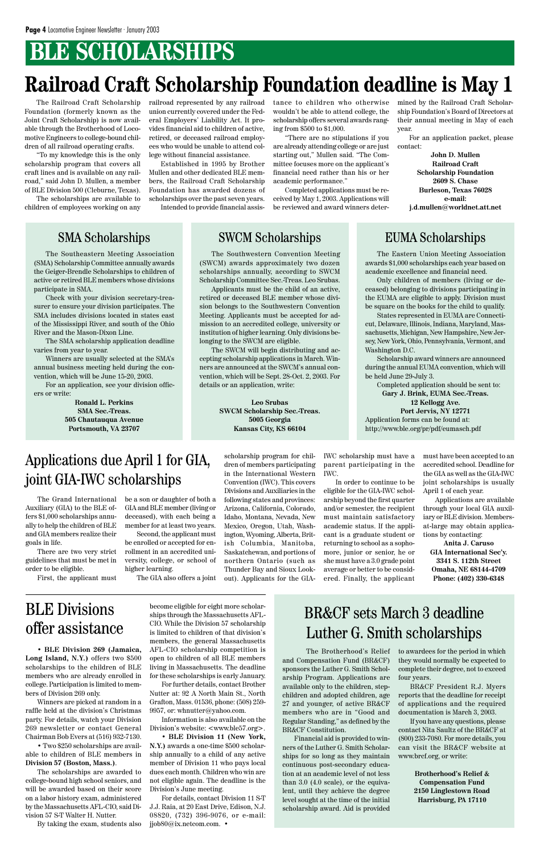# **BLE SCHOLARSHIPS**

# **Railroad Craft Scholarship Foundation deadline is May 1**

The Eastern Union Meeting Association awards \$1,000 scholarships each year based on academic excellence and financial need.

Only children of members (living or deceased) belonging to divisions participating in the EUMA are eligible to apply. Division must be square on the books for the child to qualify.

States represented in EUMA are Connecticut, Delaware, Illinois, Indiana, Maryland, Massachusetts, Michigan, New Hampshire, New Jersey, New York, Ohio, Pennsylvania, Vermont, and Washington D.C.

Scholarship award winners are announced during the annual EUMA convention, which will be held June 29-July 3.

Completed application should be sent to:

**Gary J. Brink, EUMA Sec.-Treas. 12 Kellogg Ave. Port Jervis, NY 12771** Application forms can be found at: http://www.ble.org/pr/pdf/eumasch.pdf

The Southeastern Meeting Association (SMA) Scholarship Committee annually awards the Geiger-Brendle Scholarships to children of active or retired BLE members whose divisions participate in SMA.

Check with your division secretary-treasurer to ensure your division participates. The SMA includes divisions located in states east of the Mississippi River, and south of the Ohio River and the Mason-Dixon Line.

The SMA scholarship application deadline varies from year to year.

Winners are usually selected at the SMA's annual business meeting held during the convention, which will be June 15-20, 2003.

For an application, see your division officers or write:

> **Ronald L. Perkins SMA Sec.-Treas. 505 Chautauqua Avenue Portsmouth, VA 23707**

### SMA Scholarships SWCM Scholarships EUMA Scholarships

The Southwestern Convention Meeting (SWCM) awards approximately two dozen scholarships annually, according to SWCM Scholarship Committee Sec.-Treas. Leo Srubas.

Applicants must be the child of an active, retired or deceased BLE member whose division belongs to the Southwestern Convention Meeting. Applicants must be accepted for admission to an accredited college, university or institution of higher learning. Only divisions belonging to the SWCM are eligible.

The SWCM will begin distributing and accepting scholarship applications in March. Winners are announced at the SWCM's annual convention, which will be Sept. 28-Oct. 2, 2003. For details or an application, write:

> **Leo Srubas SWCM Scholarship Sec.-Treas. 5005 Georgia Kansas City, KS 66104**

### BLE Divisions offer assistance

• **BLE Division 269 (Jamaica, Long Island, N.Y.)** offers two \$500 scholarships to the children of BLE members who are already enrolled in college. Participation is limited to members of Division 269 only.

Winners are picked at random in a raffle held at the division's Christmas party. For details, watch your Division 269 newsletter or contact General Chairman Bob Evers at (516) 932-7130.

• Two \$250 scholarships are available to children of BLE members in **Division 57 (Boston, Mass.)**.

The scholarships are awarded to college-bound high school seniors, and will be awarded based on their score on a labor history exam, administered by the Massachusetts AFL-CIO, said Division 57 S-T Walter H. Nutter.

By taking the exam, students also

become eligible for eight more scholarships through the Massachusetts AFL-CIO. While the Division 57 scholarship

is limited to children of that division's members, the general Massachusetts AFL-CIO scholarship competition is open to children of all BLE members living in Massachusetts. The deadline for these scholarships is early January. For further details, contact Brother

Nutter at: 92 A North Main St., North Grafton, Mass. 01536, phone: (508) 259- 9957, or: whnutter@yahoo.com.

Information is also available on the Division's website: <www.ble57.org>.

• **BLE Division 11 (New York, N.Y.)** awards a one-time \$500 scholarship annually to a child of any active member of Division 11 who pays local dues each month. Children who win are not eligible again. The deadline is the Division's June meeting.

For details, contact Division 11 S-T J.J. Raia, at 20 East Drive, Edison, N.J. 08820, (732) 396-9076, or e-mail: jjob80@ix.netcom.com. •

BR&CF sets March 3 deadline

### Luther G. Smith scholarships

The Brotherhood's Relief and Compensation Fund (BR&CF) sponsors the Luther G. Smith Scholarship Program. Applications are available only to the children, stepchildren and adopted children, age 27 and younger, of active BR&CF members who are in "Good and Regular Standing," as defined by the BR&CF Constitution.

Financial aid is provided to winners of the Luther G. Smith Scholarships for so long as they maintain continuous post-secondary education at an academic level of not less than 3.0 (4.0 scale), or the equivalent, until they achieve the degree level sought at the time of the initial scholarship award. Aid is provided to awardees for the period in which they would normally be expected to complete their degree, not to exceed four years.

BR&CF President R.J. Myers reports that the deadline for receipt of applications and the required documentation is March 3, 2003.

If you have any questions, please contact Nita Saultz of the BR&CF at (800) 233-7080. For more details, you can visit the BR&CF website at www.brcf.org, or write:

> **Brotherhood's Relief & Compensation Fund 2150 Linglestown Road Harrisburg, PA 17110**

The Grand International Auxiliary (GIA) to the BLE offers \$1,000 scholarships annually to help the children of BLE and GIA members realize their goals in life.

There are two very strict guidelines that must be met in order to be eligible.

First, the applicant must

be a son or daughter of both a GIA and BLE member (living or deceased), with each being a member for at least two years.

Second, the applicant must be enrolled or accepted for enrollment in an accredited university, college, or school of higher learning.

The GIA also offers a joint

scholarship program for children of members participating in the International Western Convention (IWC). This covers Divisions and Auxiliaries in the following states and provinces: Arizona, California, Colorado, Idaho, Montana, Nevada, New Mexico, Oregon, Utah, Washington, Wyoming, Alberta, British Columbia, Manitoba, Saskatchewan, and portions of northern Ontario (such as Thunder Bay and Sioux Lookout). Applicants for the GIA-

IWC scholarship must have a parent participating in the IWC.

In order to continue to be eligible for the GIA-IWC scholarship beyond the first quarter and/or semester, the recipient must maintain satisfactory academic status. If the applicant is a graduate student or returning to school as a sophomore, junior or senior, he or she must have a 3.0 grade point average or better to be considered. Finally, the applicant

must have been accepted to an accredited school. Deadline for the GIA as well as the GIA-IWC joint scholarships is usually April 1 of each year.

Applications are available through your local GIA auxiliary or BLE division. Membersat-large may obtain applications by contacting:

**Anita J. Caruso GIA International Sec'y. 3341 S. 112th Street Omaha, NE 68144-4709 Phone: (402) 330-6348**

### Applications due April 1 for GIA, joint GIA-IWC scholarships

The Railroad Craft Scholarship Foundation (formerly known as the Joint Craft Scholarship) is now available through the Brotherhood of Locomotive Engineers to college-bound children of all railroad operating crafts.

"To my knowledge this is the only scholarship program that covers all craft lines and is available on any railroad," said John D. Mullen, a member of BLE Division 500 (Cleburne, Texas).

The scholarships are available to children of employees working on any railroad represented by any railroad union currently covered under the Federal Employers' Liability Act. It provides financial aid to children of active, retired, or deceased railroad employees who would be unable to attend college without financial assistance.

Established in 1995 by Brother Mullen and other dedicated BLE members, the Railroad Craft Scholarship Foundation has awarded dozens of scholarships over the past seven years.

Intended to provide financial assis-

tance to children who otherwise wouldn't be able to attend college, the scholarship offers several awards ranging from \$500 to \$1,000.

"There are no stipulations if you are already attending college or are just starting out," Mullen said. "The Committee focuses more on the applicant's financial need rather than his or her academic performance."

Completed applications must be received by May 1, 2003. Applications will be reviewed and award winners determined by the Railroad Craft Scholarship Foundation's Board of Directors at their annual meeting in May of each year.

For an application packet, please contact:

> **John D. Mullen Railroad Craft Scholarship Foundation 2609 S. Chase Burleson, Texas 76028 e-mail: j.d.mullen@worldnet.att.net**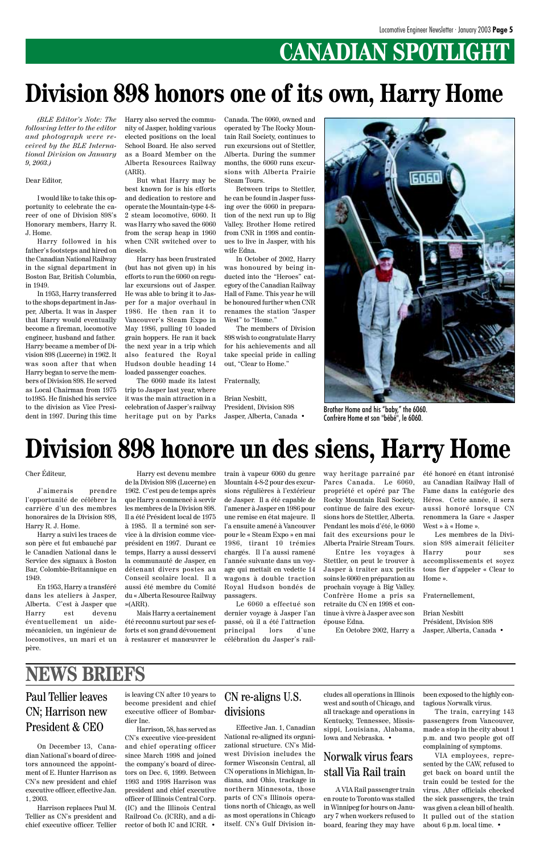# **CANADIAN SPOTLIGHT**

*(BLE Editor's Note: The following letter to the editor and photograph were received by the BLE International Division on January 9, 2003.)*

#### Dear Editor,

I would like to take this opportunity to celebrate the career of one of Division 898's Honorary members, Harry R. J. Home.

Harry followed in his father's footsteps and hired on the Canadian National Railway in the signal department in Boston Bar, British Columbia, in 1949.

In 1953, Harry transferred to the shops department in Jasper, Alberta. It was in Jasper that Harry would eventually become a fireman, locomotive engineer, husband and father. Harry became a member of Division 898 (Lucerne) in 1962. It was soon after that when Harry began to serve the members of Division 898. He served as Local Chairman from 1975 to1985. He finished his service to the division as Vice President in 1997. During this time Harry also served the community of Jasper, holding various elected positions on the local School Board. He also served as a Board Member on the Alberta Resources Railway (ARR).

But what Harry may be best known for is his efforts and dedication to restore and operate the Mountain-type 4-8- 2 steam locomotive, 6060. It was Harry who saved the 6060 from the scrap heap in 1960 when CNR switched over to diesels.

Harry has been frustrated (but has not given up) in his efforts to run the 6060 on regular excursions out of Jasper. He was able to bring it to Jasper for a major overhaul in 1986. He then ran it to Vancouver's Steam Expo in May 1986, pulling 10 loaded grain hoppers. He ran it back the next year in a trip which also featured the Royal Hudson double heading 14 loaded passenger coaches.

The 6060 made its latest trip to Jasper last year, where it was the main attraction in a celebration of Jasper's railway heritage put on by Parks

Canada. The 6060, owned and operated by The Rocky Mountain Rail Society, continues to run excursions out of Stettler, Alberta. During the summer months, the 6060 runs excursions with Alberta Prairie Steam Tours.

Between trips to Stettler, he can be found in Jasper fussing over the 6060 in preparation of the next run up to Big Valley. Brother Home retired from CNR in 1998 and continues to live in Jasper, with his wife Edna.

In October of 2002, Harry was honoured by being inducted into the "Heroes" category of the Canadian Railway Hall of Fame. This year he will be honoured further when CNR renames the station "Jasper West" to "Home."

The members of Division 898 wish to congratulate Harry for his achievements and all take special pride in calling out, "Clear to Home."

#### Fraternally,

Brian Nesbitt, President, Division 898 Jasper, Alberta, Canada •

# **Division 898 honors one of its own, Harry Home**



Brother Home and his "baby," the 6060. Confrère Home et son "bébé", le 6060.

Cher Éditeur,

J'aimerais prendre l'opportunité de célébrer la carrière d'un des membres honoraires de la Division 898, Harry R. J. Home.

Harry a suivi les traces de son père et fut embauché par le Canadien National dans le Service des signaux à Boston Bar, Colombie-Britannique en 1949.

En 1953, Harry a transféré dans les ateliers à Jasper,

Harry est devenu membre de la Division 898 (Lucerne) en 1962. C'est peu de temps après que Harry a commencé à servir les membres de la Division 898. Il a été Président local de 1975 à 1985. Il a terminé son service à la division comme viceprésident en 1997. Durant ce temps, Harry a aussi desservi la communauté de Jasper, en détenant divers postes au Conseil scolaire local. Il a aussi été membre du Comité du « Alberta Resource Railway

Alberta. C'est à Jasper que »(ARR). Le 6060 a effectué son retraite du CN en 1998 et con-

train à vapeur 6060 du genre Mountain 4-8-2 pour des excursions régulières à l'extérieur de Jasper. Il a été capable de l'amener à Jasper en 1986 pour une remise en état majeure. Il l'a ensuite amené à Vancouver pour le « Steam Expo » en mai 1986, tirant 10 trémies chargés. Il l'a aussi ramené l'année suivante dans un voyage qui mettait en vedette 14 wagons à double traction Royal Hudson bondés de passagers.

Harry est devenu éventuellement un aidemécanicien, un ingénieur de locomotives, un mari et un à restaurer et manœuvrer le père. Mais Harry a certainement été reconnu surtout par ses efforts et son grand dévouement dernier voyage à Jasper l'an passé, où il a été l'attraction principal lors d'une célébration du Jasper's railtinue à vivre à Jasper avec son épouse Edna. En Octobre 2002, Harry a Jasper, Alberta, Canada • Brian Nesbitt

way heritage parrainé par Parcs Canada. Le 6060, propriété et opéré par The Rocky Mountain Rail Society, continue de faire des excursions hors de Stettler, Alberta. Pendant les mois d'été, le 6060 fait des excursions pour le Alberta Prairie Stream Tours.

Entre les voyages à Stettler, on peut le trouver à Jasper à traiter aux petits soins le 6060 en préparation au prochain voyage à Big Valley. Confrère Home a pris sa été honoré en étant intronisé au Canadian Railway Hall of Fame dans la catégorie des Héros. Cette année, il sera aussi honoré lorsque CN renommera la Gare « Jasper West » à « Home ».

Les membres de la Division 898 aimerait féliciter Harry pour ses accomplissements et soyez tous fier d'appeler « Clear to Home ».

Fraternellement,

Président, Division 898

# **Division 898 honore un des siens, Harry Home**

### Paul Tellier leaves CN; Harrison new President & CEO

### **NEWS BRIEFS**

On December 13, Canadian National's board of directors announced the appointment of E. Hunter Harrison as CN's new president and chief executive officer, effective Jan. 1, 2003.

Harrison replaces Paul M. Tellier as CN's president and chief executive officer. Tellier

is leaving CN after 10 years to become president and chief executive officer of Bombardier Inc.

Harrison, 58, has served as CN's executive vice-president and chief operating officer since March 1998 and joined the company's board of directors on Dec. 6, 1999. Between 1993 and 1998 Harrison was president and chief executive officer of Illinois Central Corp. (IC) and the Illinois Central Railroad Co. (ICRR), and a director of both IC and ICRR. •

### Norwalk virus fears stall Via Rail train

A VIA Rail passenger train en route to Toronto was stalled in Winnipeg for hours on January 7 when workers refused to board, fearing they may have

Effective Jan. 1, Canadian National re-aligned its organizational structure. CN's Midwest Division includes the former Wisconsin Central, all CN operations in Michigan, Indiana, and Ohio, trackage in northern Minnesota, those parts of CN's Illinois operations north of Chicago, as well as most operations in Chicago itself. CN's Gulf Division in-

CN re-aligns U.S. divisions

cludes all operations in Illinois west and south of Chicago, and all trackage and operations in Kentucky, Tennessee, Mississippi, Louisiana, Alabama, Iowa and Nebraska. •

been exposed to the highly contagious Norwalk virus.

The train, carrying 143 passengers from Vancouver, made a stop in the city about 1 p.m. and two people got off complaining of symptoms.

VIA employees, represented by the CAW, refused to get back on board until the train could be tested for the virus. After officials checked the sick passengers, the train was given a clean bill of health. It pulled out of the station about 6 p.m. local time. •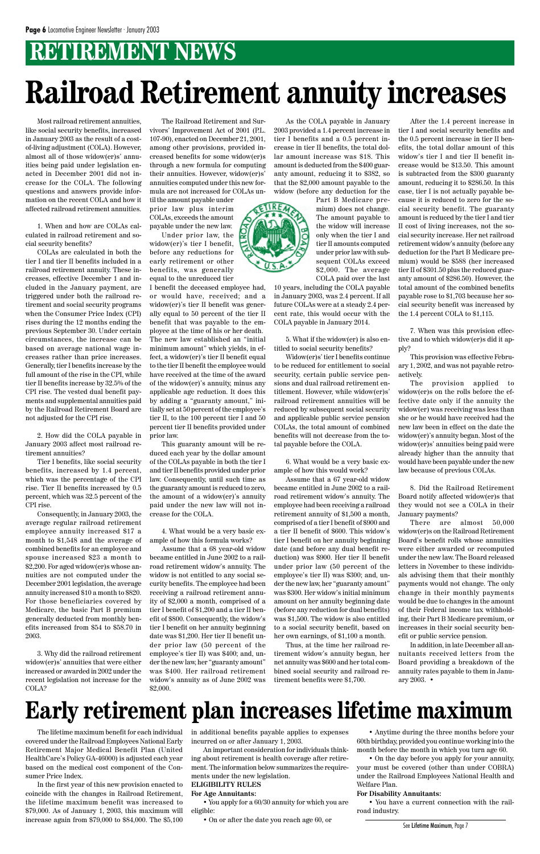# **RETIREMENT NEWS**

The lifetime maximum benefit for each individual covered under the Railroad Employees National Early Retirement Major Medical Benefit Plan (United HealthCare's Policy GA-46000) is adjusted each year based on the medical cost component of the Consumer Price Index.

In the first year of this new provision enacted to coincide with the changes in Railroad Retirement, the lifetime maximum benefit was increased to \$79,000. As of January 1, 2003, this maximum will increase again from \$79,000 to \$84,000. The \$5,100 in additional benefits payable applies to expenses incurred on or after January 1, 2003.

An important consideration for individuals thinking about retirement is health coverage after retirement. The information below summarizes the requirements under the new legislation.

#### **ELIGIBILITY RULES**

#### **For Age Annuitants:**

• You apply for a 60/30 annuity for which you are eligible:

• On or after the date you reach age 60, or

Most railroad retirement annuities, like social security benefits, increased in January 2003 as the result of a costof-living adjustment (COLA). However, almost all of those widow(er)s' annuities being paid under legislation enacted in December 2001 did not increase for the COLA. The following questions and answers provide information on the recent COLA and how it affected railroad retirement annuities.

1. When and how are COLAs calculated in railroad retirement and social security benefits?

COLAs are calculated in both the tier I and tier II benefits included in a railroad retirement annuity. These increases, effective December 1 and included in the January payment, are triggered under both the railroad retirement and social security programs when the Consumer Price Index (CPI) rises during the 12 months ending the previous September 30. Under certain circumstances, the increase can be based on average national wage increases rather than price increases. Generally, tier I benefits increase by the full amount of the rise in the CPI, while tier II benefits increase by 32.5% of the CPI rise. The vested dual benefit payments and supplemental annuities paid by the Railroad Retirement Board are not adjusted for the CPI rise.

2. How did the COLA payable in January 2003 affect most railroad retirement annuities?

Tier I benefits, like social security benefits, increased by 1.4 percent, which was the percentage of the CPI rise. Tier II benefits increased by 0.5 percent, which was 32.5 percent of the CPI rise.

Consequently, in January 2003, the average regular railroad retirement employee annuity increased \$17 a month to \$1,548 and the average of combined benefits for an employee and spouse increased \$23 a month to \$2,200. For aged widow(er)s whose annuities are not computed under the December 2001 legislation, the average annuity increased \$10 a month to \$820. For those beneficiaries covered by Medicare, the basic Part B premium generally deducted from monthly benefits increased from \$54 to \$58.70 in 2003.

3. Why did the railroad retirement widow(er)s' annuities that were either increased or awarded in 2002 under the recent legislation not increase for the COLA?

The Railroad Retirement and Survivors' Improvement Act of 2001 (P.L. 107-90), enacted on December 21, 2001, among other provisions, provided increased benefits for some widow(er)s through a new formula for computing their annuities. However, widow(er)s' annuities computed under this new formula are not increased for COLAs un-

til the amount payable under prior law plus interim COLAs, exceeds the amount payable under the new law.

Under prior law, the widow(er)'s tier I benefit, before any reductions for early retirement or other benefits, was generally equal to the unreduced tier

I benefit the deceased employee had, or would have, received; and a widow(er)'s tier II benefit was generally equal to 50 percent of the tier II benefit that was payable to the employee at the time of his or her death. The new law established an "initial minimum amount" which yields, in effect, a widow(er)'s tier II benefit equal to the tier II benefit the employee would have received at the time of the award of the widow(er)'s annuity, minus any applicable age reduction. It does this by adding a "guaranty amount," initially set at 50 percent of the employee's tier II, to the 100 percent tier I and 50 percent tier II benefits provided under prior law.

This guaranty amount will be reduced each year by the dollar amount of the COLAs payable in both the tier I and tier II benefits provided under prior law. Consequently, until such time as the guaranty amount is reduced to zero, the amount of a widow(er)'s annuity paid under the new law will not increase for the COLA.

4. What would be a very basic example of how this formula works?

Assume that a 68 year-old widow became entitled in June 2002 to a railroad retirement widow's annuity. The widow is not entitled to any social security benefits. The employee had been receiving a railroad retirement annuity of \$2,000 a month, comprised of a tier I benefit of \$1,200 and a tier II benefit of \$800. Consequently, the widow's tier I benefit on her annuity beginning date was \$1,200. Her tier II benefit under prior law (50 percent of the employee's tier II) was \$400; and, under the new law, her "guaranty amount" was \$400. Her railroad retirement widow's annuity as of June 2002 was \$2,000.

As the COLA payable in January 2003 provided a 1.4 percent increase in tier I benefits and a 0.5 percent increase in tier II benefits, the total dollar amount increase was \$18. This amount is deducted from the \$400 guaranty amount, reducing it to \$382, so that the \$2,000 amount payable to the widow (before any deduction for the

> Part B Medicare premium) does not change. The amount payable to the widow will increase only when the tier I and tier II amounts computed under prior law with subsequent COLAs exceed \$2,000. The average COLA paid over the last

10 years, including the COLA payable in January 2003, was 2.4 percent. If all future COLAs were at a steady 2.4 percent rate, this would occur with the COLA payable in January 2014.

5. What if the widow(er) is also entitled to social security benefits?

Widow(er)s' tier I benefits continue to be reduced for entitlement to social security, certain public service pensions and dual railroad retirement entitlement. However, while widow(er)s' railroad retirement annuities will be reduced by subsequent social security and applicable public service pension COLAs, the total amount of combined benefits will not decrease from the total payable before the COLA.

6. What would be a very basic example of how this would work?

Assume that a 67 year-old widow became entitled in June 2002 to a railroad retirement widow's annuity. The employee had been receiving a railroad retirement annuity of \$1,500 a month, comprised of a tier I benefit of \$900 and a tier II benefit of \$600. This widow's tier I benefit on her annuity beginning date (and before any dual benefit reduction) was \$900. Her tier II benefit under prior law (50 percent of the employee's tier II) was \$300; and, under the new law, her "guaranty amount" was \$300. Her widow's initial minimum amount on her annuity beginning date (before any reduction for dual benefits) was \$1,500. The widow is also entitled to a social security benefit, based on her own earnings, of \$1,100 a month.

Thus, at the time her railroad retirement widow's annuity began, her net annuity was \$600 and her total combined social security and railroad retirement benefits were \$1,700.

After the 1.4 percent increase in tier I and social security benefits and the 0.5 percent increase in tier II benefits, the total dollar amount of this widow's tier I and tier II benefit increase would be \$13.50. This amount is subtracted from the \$300 guaranty amount, reducing it to \$286.50. In this case, tier I is not actually payable because it is reduced to zero for the social security benefit. The guaranty amount is reduced by the tier I and tier II cost of living increases, not the social security increase. Her net railroad retirement widow's annuity (before any deduction for the Part B Medicare premium) would be \$588 (her increased tier II of \$301.50 plus the reduced guaranty amount of \$286.50). However, the total amount of the combined benefits payable rose to \$1,703 because her social security benefit was increased by the 1.4 percent COLA to \$1,115.

7. When was this provision effective and to which widow(er)s did it apply?

This provision was effective February 1, 2002, and was not payable retroactively.

The provision applied to widow(er)s on the rolls before the effective date only if the annuity the widow(er) was receiving was less than she or he would have received had the new law been in effect on the date the widow(er)'s annuity began. Most of the widow(er)s' annuities being paid were already higher than the annuity that would have been payable under the new law because of previous COLAs.

8. Did the Railroad Retirement Board notify affected widow(er)s that they would not see a COLA in their January payments?

There are almost 50,000 widow(er)s on the Railroad Retirement Board's benefit rolls whose annuities were either awarded or recomputed under the new law. The Board released letters in November to these individuals advising them that their monthly payments would not change. The only change in their monthly payments would be due to changes in the amount of their Federal income tax withholding, their Part B Medicare premium, or increases in their social security benefit or public service pension.



In addition, in late December all annuitants received letters from the Board providing a breakdown of the annuity rates payable to them in January 2003. •

# **Railroad Retirement annuity increases**

• Anytime during the three months before your 60th birthday, provided you continue working into the month before the month in which you turn age 60.

• On the day before you apply for your annuity, your must be covered (other than under COBRA) under the Railroad Employees National Health and Welfare Plan.

#### **For Disability Annuitants:**

• You have a current connection with the railroad industry.

# **Early retirement plan increases lifetime maximum**

See Lifetime Maximum, Page 7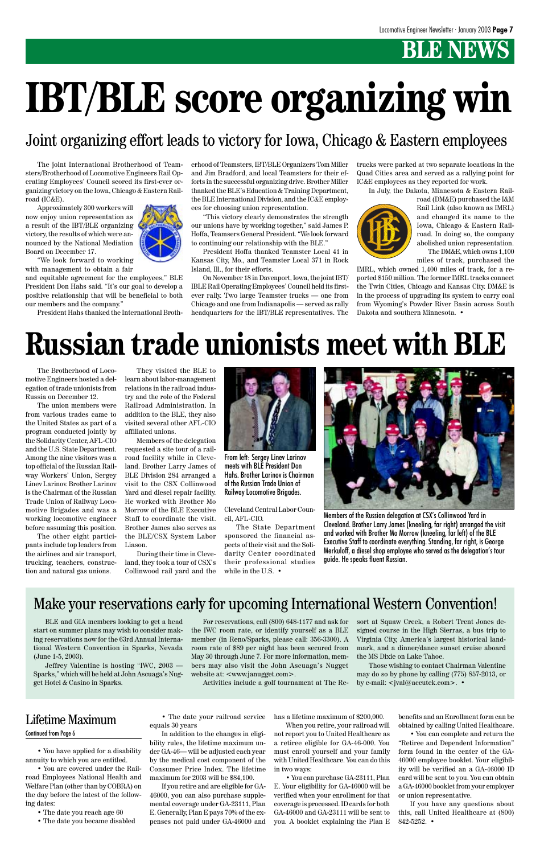# **BLE NEWS**

The Brotherhood of Locomotive Engineers hosted a delegation of trade unionists from Russia on December 12.

The union members were from various trades came to the United States as part of a program conducted jointly by the Solidarity Center, AFL-CIO and the U.S. State Department. Among the nine visitors was a top official of the Russian Railway Workers' Union, Sergey Linev Larinov. Brother Larinov is the Chairman of the Russian Trade Union of Railway Locomotive Brigades and was a working locomotive engineer before assuming this position.

The other eight participants include top leaders from the airlines and air transport, trucking, teachers, construction and natural gas unions.

They visited the BLE to learn about labor-management relations in the railroad industry and the role of the Federal Railroad Administration. In addition to the BLE, they also visited several other AFL-CIO affiliated unions.

Members of the delegation requested a site tour of a railroad facility while in Cleveland. Brother Larry James of BLE Division 284 arranged a visit to the CSX Collinwood Yard and diesel repair facility. He worked with Brother Mo Morrow of the BLE Executive Staff to coordinate the visit. Brother James also serves as the BLE/CSX System Labor Liason.

During their time in Cleveland, they took a tour of CSX's Collinwood rail yard and the

# **Russian trade unionists meet with BLE**



From left: Sergey Linev Larinov meets with BLE President Don Hahs. Brother Larinov is Chairman of the Russian Trade Union of Railway Locomotive Brigades.



Members of the Russian delegation at CSX's Collinwood Yard in Cleveland. Brother Larry James (kneeling, far right) arranged the visit and worked with Brother Mo Morrow (kneeling, far left) of the BLE Executive Staff to coordinate everything. Standing, far right, is George Merkuloff, a diesel shop employee who served as the delegation's tour guide. He speaks fluent Russian.

• You have applied for a disability annuity to which you are entitled.

• You are covered under the Railroad Employees National Health and Welfare Plan (other than by COBRA) on the day before the latest of the following dates:

- The date you reach age 60
- The date you became disabled

• The date your railroad service equals 30 years

In addition to the changes in eligibility rules, the lifetime maximum under GA-46— will be adjusted each year by the medical cost component of the Consumer Price Index. The lifetime maximum for 2003 will be \$84,100.

If you retire and are eligible for GA-46000, you can also purchase supplemental coverage under GA-23111, Plan E. Generally, Plan E pays 70% of the expenses not paid under GA-46000 and

has a lifetime maximum of \$200,000.

When you retire, your railroad will not report you to United Healthcare as a retiree eligible for GA-46-000. You must enroll yourself and your family with United Healthcare. You can do this in two ways:

• You can purchase GA-23111, Plan E. Your eligibility for GA-46000 will be verified when your enrollment for that coverage is processed. ID cards for both GA-46000 and GA-23111 will be sent to you. A booklet explaining the Plan E benefits and an Enrollment form can be obtained by calling United Healthcare.

the IWC room rate, or identify yourself as a BLE member (in Reno/Sparks, please call: 356-3300). A room rate of \$89 per night has been secured from May 30 through June 7. For more information, members may also visit the John Ascuaga's Nugget website at: <www.janugget.com>.

> • You can complete and return the "Retiree and Dependent Information" form found in the center of the GA-46000 employee booklet. Your eligibility will be verified an a GA-46000 ID card will be sent to you. You can obtain a GA-46000 booklet from your employer or union representative.

> If you have any questions about this, call United Healthcare at (800) 842-5252. •

### Lifetime Maximum

#### Continued from Page 6

Cleveland Central Labor Council, AFL-CIO.

The State Department sponsored the financial aspects of their visit and the Solidarity Center coordinated their professional studies while in the U.S. •

The joint International Brotherhood of Teamsters/Brotherhood of Locomotive Engineers Rail Operating Employees' Council scored its first-ever organizing victory on the Iowa, Chicago & Eastern Railroad (IC&E).

Approximately 300 workers will now enjoy union representation as a result of the IBT/BLE organizing victory, the results of which were announced by the National Mediation Board on December 17.



"We look forward to working with management to obtain a fair

and equitable agreement for the employees," BLE President Don Hahs said. "It's our goal to develop a positive relationship that will be beneficial to both our members and the company."

President Hahs thanked the International Broth-

erhood of Teamsters, IBT/BLE Organizers Tom Miller and Jim Bradford, and local Teamsters for their efforts in the successful organizing drive. Brother Miller thanked the BLE's Education & Training Department, the BLE International Division, and the IC&E employees for choosing union representation.

"This victory clearly demonstrates the strength our unions have by working together," said James P. Hoffa, Teamsers General President. "We look forward to continuing our relationship with the BLE."

President Hoffa thanked Teamster Local 41 in Kansas City, Mo., and Teamster Local 371 in Rock Island, Ill., for their efforts.

On November 18 in Davenport, Iowa, the joint IBT/ IBLE Rail Operating Employees' Council held its firstever rally. Two large Teamster trucks — one from Chicago and one from Indianapolis — served as rally headquarters for the IBT/BLE representatives. The trucks were parked at two separate locations in the Quad Cities area and served as a rallying point for IC&E employees as they reported for work.

In July, the Dakota, Minnesota & Eastern Rail-



road (DM&E) purchased the I&M Rail Link (also known as IMRL) and changed its name to the Iowa, Chicago & Eastern Railroad. In doing so, the company abolished union representation. The DM&E, which owns 1,100

miles of track, purchased the

IMRL, which owned 1,400 miles of track, for a reported \$150 million. The former IMRL tracks connect the Twin Cities, Chicago and Kansas City. DM&E is in the process of upgrading its system to carry coal from Wyoming's Powder River Basin across South Dakota and southern Minnesota. •

# **IBT/BLE score organizing win**

### Joint organizing effort leads to victory for Iowa, Chicago & Eastern employees

### Make your reservations early for upcoming International Western Convention!

BLE and GIA members looking to get a head

start on summer plans may wish to consider making reservations now for the 63rd Annual International Western Convention in Sparks, Nevada (June 1-5, 2003).

Jeffrey Valentine is hosting "IWC, 2003 — Sparks," which will be held at John Ascuaga's Nugget Hotel & Casino in Sparks.

For reservations, call (800) 648-1177 and ask for sort at Squaw Creek, a Robert Trent Jones de-

Activities include a golf tournament at The Re-

signed course in the High Sierras, a bus trip to Virginia City, America's largest historical landmark, and a dinner/dance sunset cruise aboard the MS Dixie on Lake Tahoe.

Those wishing to contact Chairman Valentine may do so by phone by calling (775) 857-2013, or by e-mail: <jval@accutek.com>. •